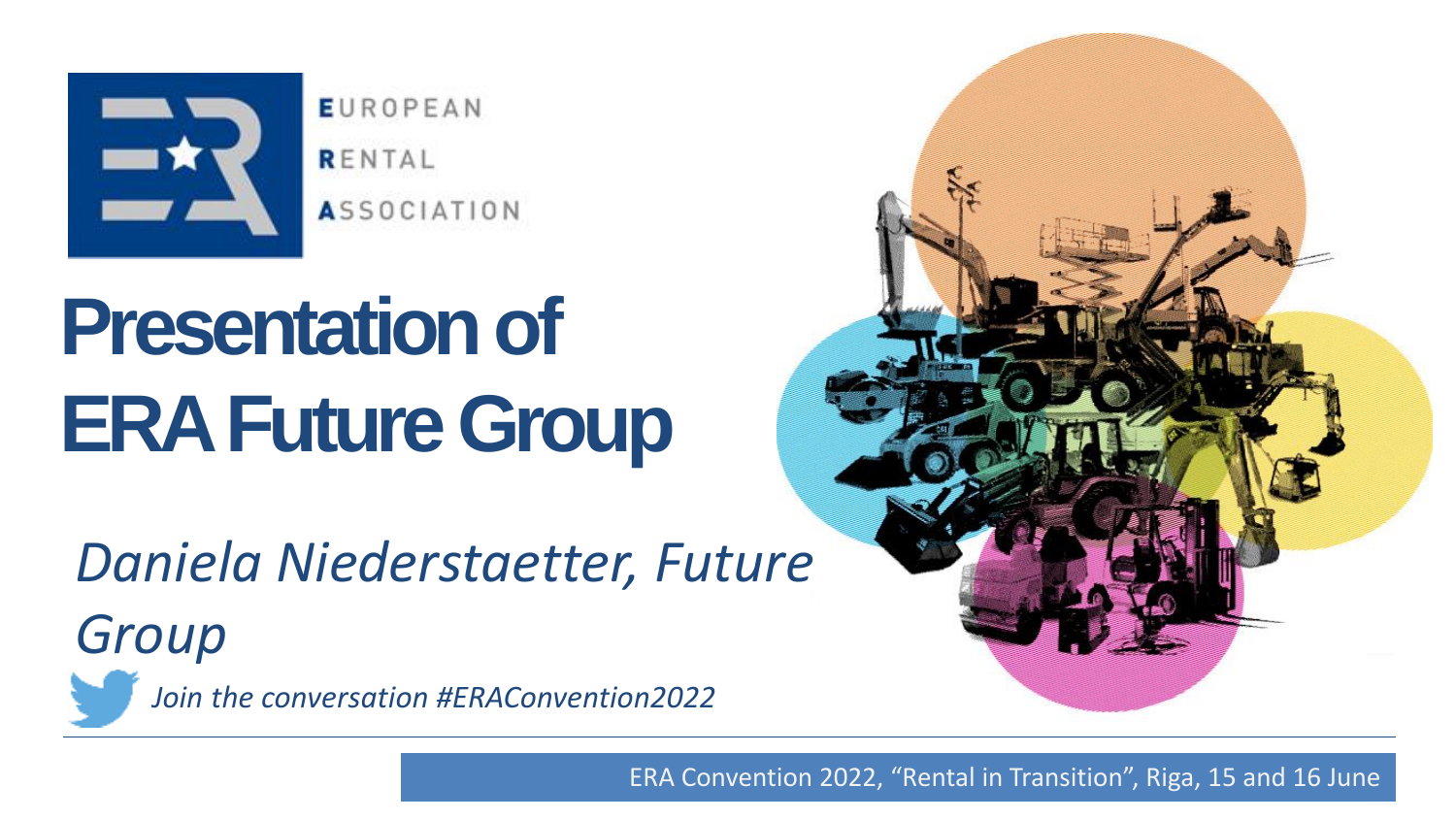

**EUROPEAN** RENTAL **ASSOCIATION** 

## **Presentation of ERA Future Group**

## Daniela Niederstaetter, Future

Group

Join the conversation #ERAConvention2022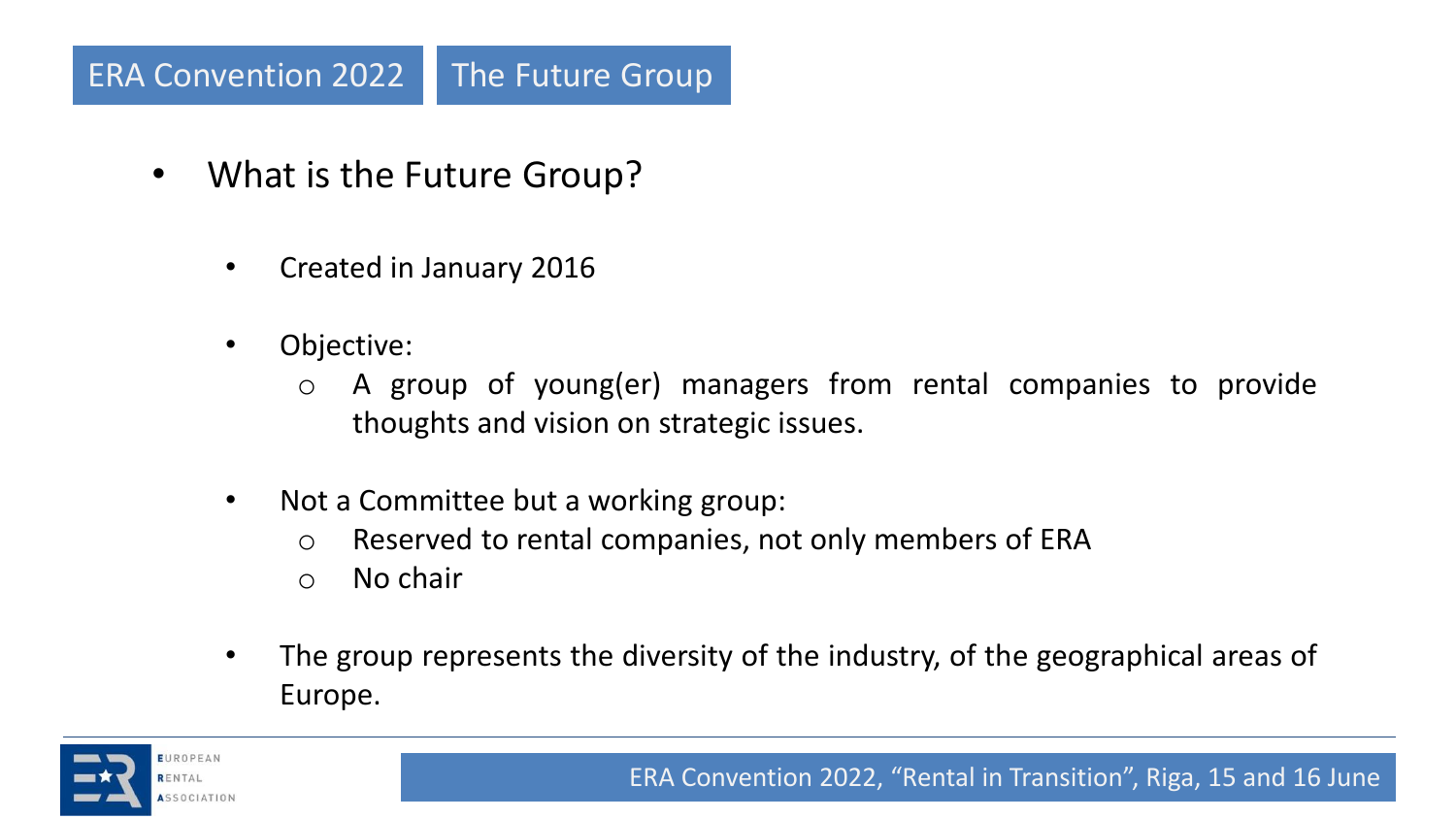## ERA Convention 2022 The Future Group

- What is the Future Group?
	- Created in January 2016
	- Objective:
		- o A group of young(er) managers from rental companies to provide thoughts and vision on strategic issues.
	- Not a Committee but a working group:
		- o Reserved to rental companies, not only members of ERA
		- o No chair
	- The group represents the diversity of the industry, of the geographical areas of Europe.

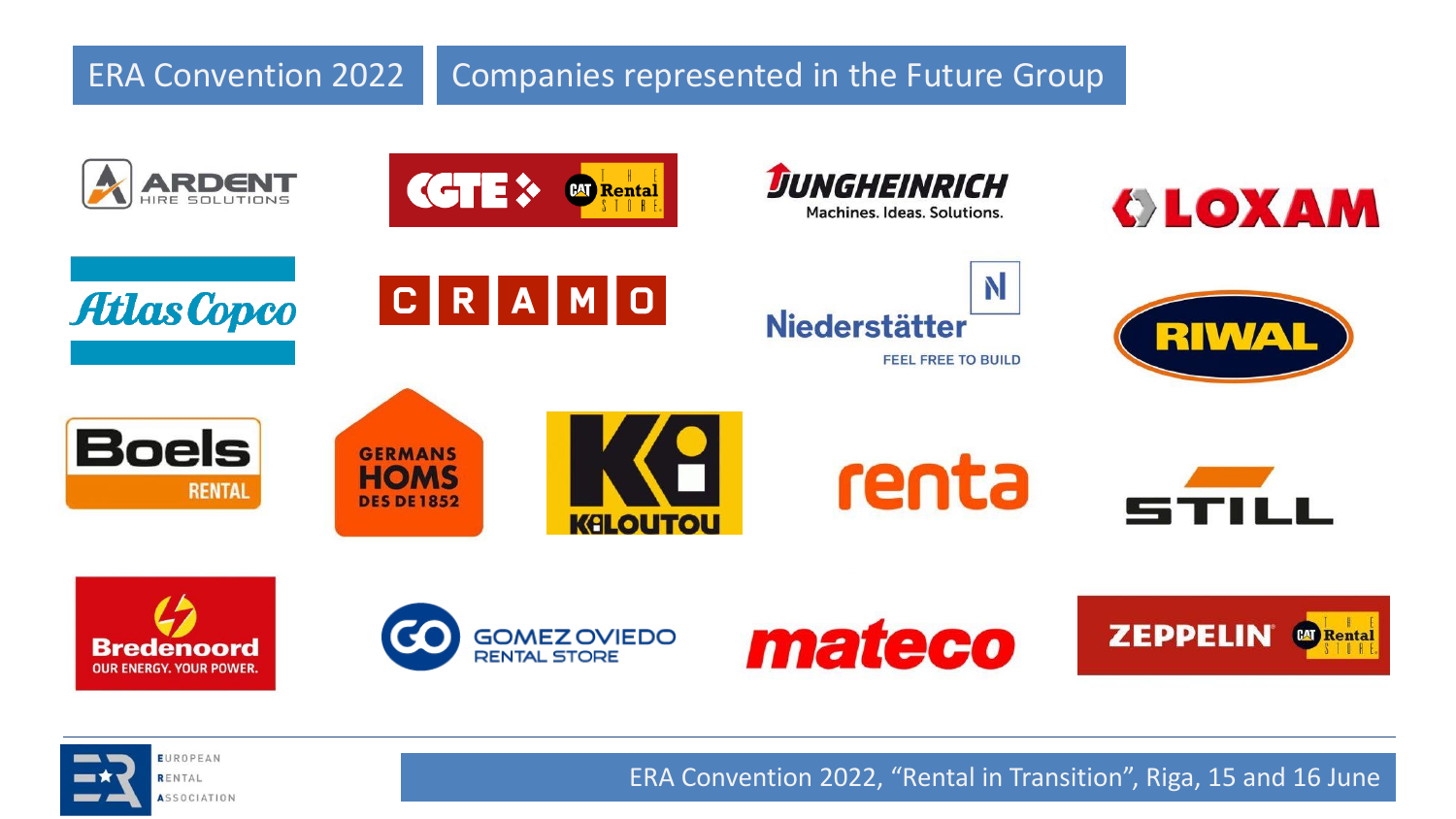**ERA Convention 2022** Companies represented in the Future Group